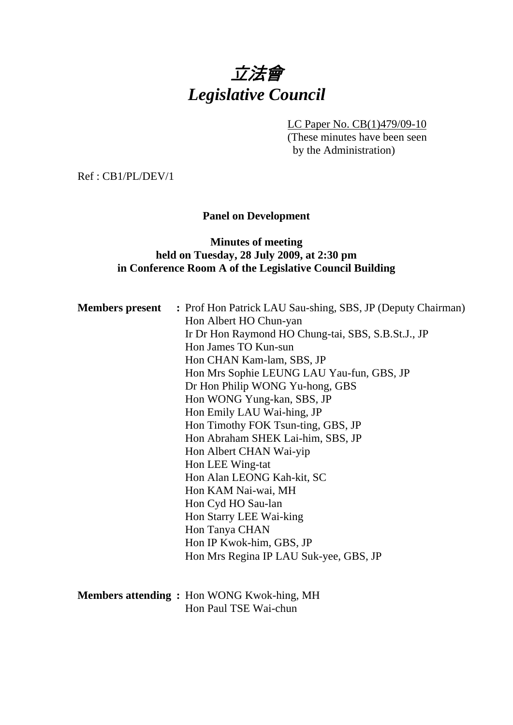

LC Paper No. CB(1)479/09-10

(These minutes have been seen by the Administration)

Ref : CB1/PL/DEV/1

# **Panel on Development**

# **Minutes of meeting held on Tuesday, 28 July 2009, at 2:30 pm in Conference Room A of the Legislative Council Building**

| <b>Members present</b> | : Prof Hon Patrick LAU Sau-shing, SBS, JP (Deputy Chairman) |  |  |  |  |
|------------------------|-------------------------------------------------------------|--|--|--|--|
|                        | Hon Albert HO Chun-yan                                      |  |  |  |  |
|                        | Ir Dr Hon Raymond HO Chung-tai, SBS, S.B.St.J., JP          |  |  |  |  |
|                        | Hon James TO Kun-sun                                        |  |  |  |  |
|                        | Hon CHAN Kam-lam, SBS, JP                                   |  |  |  |  |
|                        | Hon Mrs Sophie LEUNG LAU Yau-fun, GBS, JP                   |  |  |  |  |
|                        | Dr Hon Philip WONG Yu-hong, GBS                             |  |  |  |  |
|                        | Hon WONG Yung-kan, SBS, JP                                  |  |  |  |  |
|                        | Hon Emily LAU Wai-hing, JP                                  |  |  |  |  |
|                        | Hon Timothy FOK Tsun-ting, GBS, JP                          |  |  |  |  |
|                        | Hon Abraham SHEK Lai-him, SBS, JP                           |  |  |  |  |
|                        | Hon Albert CHAN Wai-yip                                     |  |  |  |  |
|                        | Hon LEE Wing-tat                                            |  |  |  |  |
|                        | Hon Alan LEONG Kah-kit, SC                                  |  |  |  |  |
|                        | Hon KAM Nai-wai, MH                                         |  |  |  |  |
|                        | Hon Cyd HO Sau-lan                                          |  |  |  |  |
|                        | Hon Starry LEE Wai-king                                     |  |  |  |  |
|                        | Hon Tanya CHAN                                              |  |  |  |  |
|                        | Hon IP Kwok-him, GBS, JP                                    |  |  |  |  |
|                        | Hon Mrs Regina IP LAU Suk-yee, GBS, JP                      |  |  |  |  |
|                        |                                                             |  |  |  |  |
|                        | <b>Members attending:</b> Hon WONG Kwok-hing, MH            |  |  |  |  |

Hon Paul TSE Wai-chun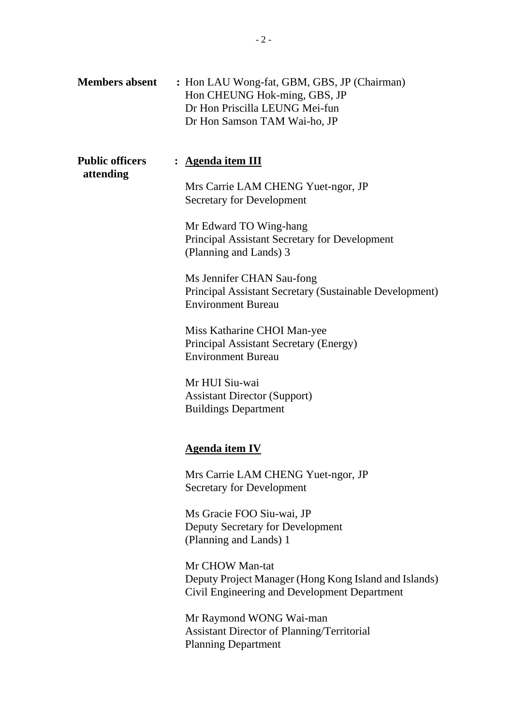| <b>Members absent</b>               | : Hon LAU Wong-fat, GBM, GBS, JP (Chairman)<br>Hon CHEUNG Hok-ming, GBS, JP<br>Dr Hon Priscilla LEUNG Mei-fun<br>Dr Hon Samson TAM Wai-ho, JP |  |  |  |
|-------------------------------------|-----------------------------------------------------------------------------------------------------------------------------------------------|--|--|--|
| <b>Public officers</b><br>attending | : <u>Agenda item III</u><br>Mrs Carrie LAM CHENG Yuet-ngor, JP<br>Secretary for Development                                                   |  |  |  |
|                                     | Mr Edward TO Wing-hang<br><b>Principal Assistant Secretary for Development</b><br>(Planning and Lands) 3                                      |  |  |  |
|                                     | Ms Jennifer CHAN Sau-fong<br><b>Principal Assistant Secretary (Sustainable Development)</b><br><b>Environment Bureau</b>                      |  |  |  |
|                                     | Miss Katharine CHOI Man-yee<br>Principal Assistant Secretary (Energy)<br><b>Environment Bureau</b>                                            |  |  |  |
|                                     | Mr HUI Siu-wai<br><b>Assistant Director (Support)</b><br><b>Buildings Department</b>                                                          |  |  |  |
|                                     | Agenda item IV                                                                                                                                |  |  |  |
|                                     | Mrs Carrie LAM CHENG Yuet-ngor, JP<br><b>Secretary for Development</b>                                                                        |  |  |  |
|                                     | Ms Gracie FOO Siu-wai, JP<br>Deputy Secretary for Development<br>(Planning and Lands) 1                                                       |  |  |  |
|                                     | Mr CHOW Man-tat<br>Deputy Project Manager (Hong Kong Island and Islands)<br>Civil Engineering and Development Department                      |  |  |  |
|                                     | Mr Raymond WONG Wai-man<br><b>Assistant Director of Planning/Territorial</b><br><b>Planning Department</b>                                    |  |  |  |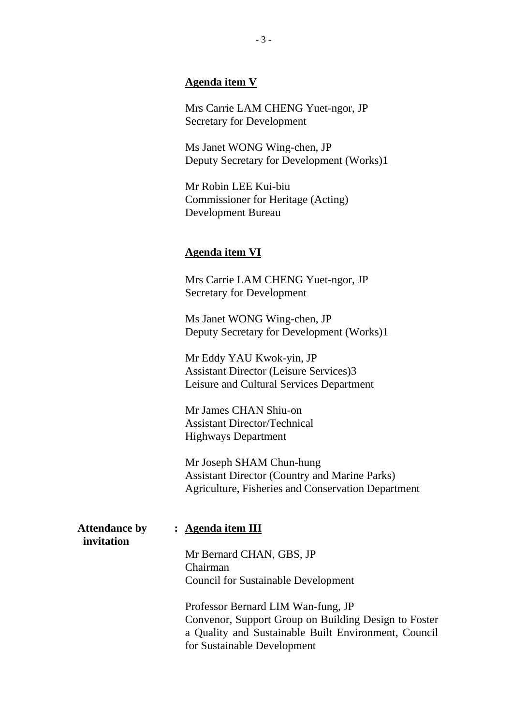### **Agenda item V**

Mrs Carrie LAM CHENG Yuet-ngor, JP Secretary for Development

Ms Janet WONG Wing-chen, JP Deputy Secretary for Development (Works)1

Mr Robin LEE Kui-biu Commissioner for Heritage (Acting) Development Bureau

### **Agenda item VI**

Mrs Carrie LAM CHENG Yuet-ngor, JP Secretary for Development

Ms Janet WONG Wing-chen, JP Deputy Secretary for Development (Works)1

Mr Eddy YAU Kwok-yin, JP Assistant Director (Leisure Services)3 Leisure and Cultural Services Department

Mr James CHAN Shiu-on Assistant Director/Technical Highways Department

Mr Joseph SHAM Chun-hung Assistant Director (Country and Marine Parks) Agriculture, Fisheries and Conservation Department

**invitation** 

### **Attendance by : Agenda item III**

Mr Bernard CHAN, GBS, JP Chairman Council for Sustainable Development

Professor Bernard LIM Wan-fung, JP Convenor, Support Group on Building Design to Foster a Quality and Sustainable Built Environment, Council for Sustainable Development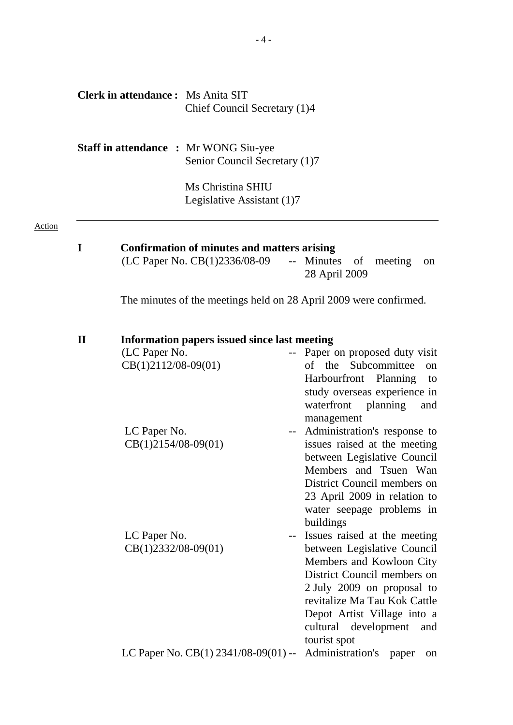|               |                                              |                                        | <b>Clerk in attendance:</b> Ms Anita SIT<br>Chief Council Secretary (1)4            |               |                                                                                                                                                                                                                                                                    |
|---------------|----------------------------------------------|----------------------------------------|-------------------------------------------------------------------------------------|---------------|--------------------------------------------------------------------------------------------------------------------------------------------------------------------------------------------------------------------------------------------------------------------|
|               | <b>Staff in attendance : Mr WONG Siu-yee</b> |                                        | Senior Council Secretary (1)7                                                       |               |                                                                                                                                                                                                                                                                    |
|               |                                              |                                        | Ms Christina SHIU<br>Legislative Assistant (1)7                                     |               |                                                                                                                                                                                                                                                                    |
| <b>Action</b> | I                                            |                                        | <b>Confirmation of minutes and matters arising</b><br>(LC Paper No. CB(1)2336/08-09 |               | -- Minutes<br>meeting<br>of<br>on<br>28 April 2009                                                                                                                                                                                                                 |
|               |                                              |                                        |                                                                                     |               | The minutes of the meetings held on 28 April 2009 were confirmed.                                                                                                                                                                                                  |
|               | $\mathbf{I}$                                 | (LC Paper No.<br>$CB(1)2112/08-09(01)$ | <b>Information papers issued since last meeting</b>                                 |               | -- Paper on proposed duty visit<br>of the Subcommittee<br><sub>on</sub><br>Harbourfront Planning<br>to<br>study overseas experience in<br>waterfront planning<br>and<br>management                                                                                 |
|               |                                              | LC Paper No.<br>$CB(1)2154/08-09(01)$  |                                                                                     | $\sim$ $\sim$ | Administration's response to<br>issues raised at the meeting<br>between Legislative Council<br>Members and Tsuen Wan<br>District Council members on<br>23 April 2009 in relation to<br>water seepage problems in<br>buildings                                      |
|               |                                              | LC Paper No.<br>$CB(1)2332/08-09(01)$  |                                                                                     |               | Issues raised at the meeting<br>between Legislative Council<br>Members and Kowloon City<br>District Council members on<br>2 July 2009 on proposal to<br>revitalize Ma Tau Kok Cattle<br>Depot Artist Village into a<br>cultural development<br>and<br>tourist spot |
|               |                                              |                                        | LC Paper No. $CB(1)$ 2341/08-09(01) --                                              |               | Administration's<br>paper<br>on                                                                                                                                                                                                                                    |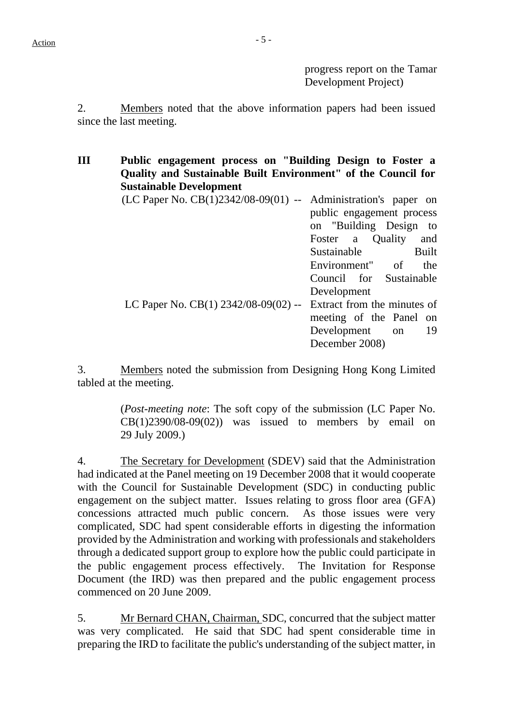2. Members noted that the above information papers had been issued since the last meeting.

**III Public engagement process on "Building Design to Foster a Quality and Sustainable Built Environment" of the Council for Sustainable Development** 

| $(LC$ Paper No. $CB(1)2342/08-09(01)$ -- Administration's paper on |                             |
|--------------------------------------------------------------------|-----------------------------|
|                                                                    | public engagement process   |
|                                                                    | on "Building Design to      |
|                                                                    | Foster a Quality and        |
|                                                                    | Sustainable<br><b>Built</b> |
|                                                                    | Environment" of<br>the      |
|                                                                    | Council for Sustainable     |
|                                                                    | Development                 |
| LC Paper No. $CB(1)$ 2342/08-09(02) -- Extract from the minutes of |                             |
|                                                                    | meeting of the Panel on     |
|                                                                    | Development on 19           |
|                                                                    | December 2008)              |
|                                                                    |                             |

3. Members noted the submission from Designing Hong Kong Limited tabled at the meeting.

> (*Post-meeting note*: The soft copy of the submission (LC Paper No.  $CB(1)2390/08-09(02)$  was issued to members by email on 29 July 2009.)

4. The Secretary for Development (SDEV) said that the Administration had indicated at the Panel meeting on 19 December 2008 that it would cooperate with the Council for Sustainable Development (SDC) in conducting public engagement on the subject matter. Issues relating to gross floor area (GFA) concessions attracted much public concern. As those issues were very complicated, SDC had spent considerable efforts in digesting the information provided by the Administration and working with professionals and stakeholders through a dedicated support group to explore how the public could participate in the public engagement process effectively. The Invitation for Response Document (the IRD) was then prepared and the public engagement process commenced on 20 June 2009.

5. Mr Bernard CHAN, Chairman, SDC, concurred that the subject matter was very complicated. He said that SDC had spent considerable time in preparing the IRD to facilitate the public's understanding of the subject matter, in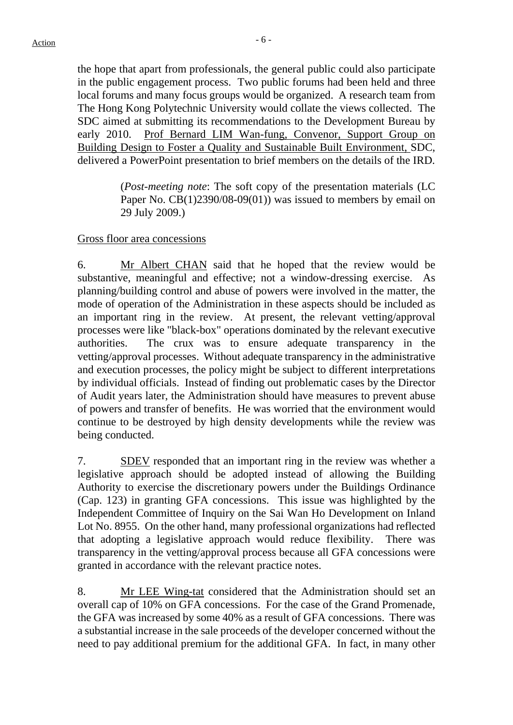the hope that apart from professionals, the general public could also participate in the public engagement process. Two public forums had been held and three local forums and many focus groups would be organized. A research team from The Hong Kong Polytechnic University would collate the views collected. The SDC aimed at submitting its recommendations to the Development Bureau by early 2010. Prof Bernard LIM Wan-fung, Convenor, Support Group on Building Design to Foster a Quality and Sustainable Built Environment, SDC, delivered a PowerPoint presentation to brief members on the details of the IRD.

> (*Post-meeting note*: The soft copy of the presentation materials (LC Paper No. CB(1)2390/08-09(01)) was issued to members by email on 29 July 2009.)

## Gross floor area concessions

6. Mr Albert CHAN said that he hoped that the review would be substantive, meaningful and effective; not a window-dressing exercise. As planning/building control and abuse of powers were involved in the matter, the mode of operation of the Administration in these aspects should be included as an important ring in the review. At present, the relevant vetting/approval processes were like "black-box" operations dominated by the relevant executive authorities. The crux was to ensure adequate transparency in the vetting/approval processes. Without adequate transparency in the administrative and execution processes, the policy might be subject to different interpretations by individual officials. Instead of finding out problematic cases by the Director of Audit years later, the Administration should have measures to prevent abuse of powers and transfer of benefits. He was worried that the environment would continue to be destroyed by high density developments while the review was being conducted.

7. SDEV responded that an important ring in the review was whether a legislative approach should be adopted instead of allowing the Building Authority to exercise the discretionary powers under the Buildings Ordinance (Cap. 123) in granting GFA concessions. This issue was highlighted by the Independent Committee of Inquiry on the Sai Wan Ho Development on Inland Lot No. 8955. On the other hand, many professional organizations had reflected that adopting a legislative approach would reduce flexibility. There was transparency in the vetting/approval process because all GFA concessions were granted in accordance with the relevant practice notes.

8. Mr LEE Wing-tat considered that the Administration should set an overall cap of 10% on GFA concessions. For the case of the Grand Promenade, the GFA was increased by some 40% as a result of GFA concessions. There was a substantial increase in the sale proceeds of the developer concerned without the need to pay additional premium for the additional GFA. In fact, in many other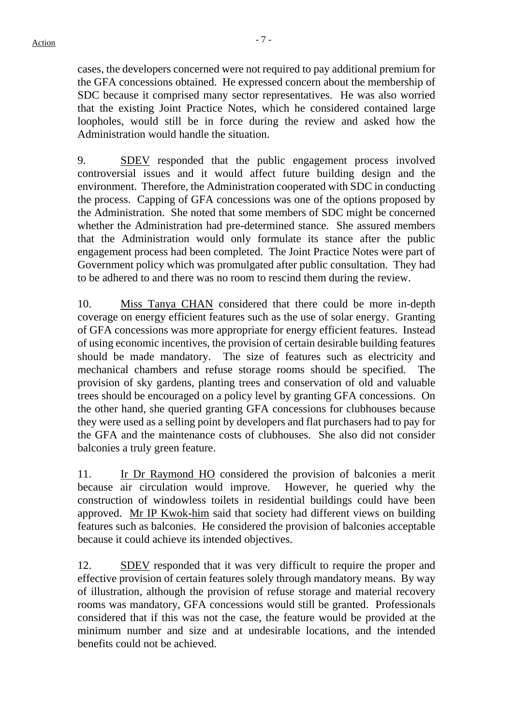cases, the developers concerned were not required to pay additional premium for the GFA concessions obtained. He expressed concern about the membership of SDC because it comprised many sector representatives. He was also worried that the existing Joint Practice Notes, which he considered contained large loopholes, would still be in force during the review and asked how the Administration would handle the situation.

9. SDEV responded that the public engagement process involved controversial issues and it would affect future building design and the environment. Therefore, the Administration cooperated with SDC in conducting the process. Capping of GFA concessions was one of the options proposed by the Administration. She noted that some members of SDC might be concerned whether the Administration had pre-determined stance. She assured members that the Administration would only formulate its stance after the public engagement process had been completed. The Joint Practice Notes were part of Government policy which was promulgated after public consultation. They had to be adhered to and there was no room to rescind them during the review.

10. Miss Tanya CHAN considered that there could be more in-depth coverage on energy efficient features such as the use of solar energy. Granting of GFA concessions was more appropriate for energy efficient features. Instead of using economic incentives, the provision of certain desirable building features should be made mandatory. The size of features such as electricity and mechanical chambers and refuse storage rooms should be specified. The provision of sky gardens, planting trees and conservation of old and valuable trees should be encouraged on a policy level by granting GFA concessions. On the other hand, she queried granting GFA concessions for clubhouses because they were used as a selling point by developers and flat purchasers had to pay for the GFA and the maintenance costs of clubhouses. She also did not consider balconies a truly green feature.

11. In Dr Raymond HO considered the provision of balconies a merit because air circulation would improve. However, he queried why the construction of windowless toilets in residential buildings could have been approved. Mr IP Kwok-him said that society had different views on building features such as balconies. He considered the provision of balconies acceptable because it could achieve its intended objectives.

12. SDEV responded that it was very difficult to require the proper and effective provision of certain features solely through mandatory means. By way of illustration, although the provision of refuse storage and material recovery rooms was mandatory, GFA concessions would still be granted. Professionals considered that if this was not the case, the feature would be provided at the minimum number and size and at undesirable locations, and the intended benefits could not be achieved.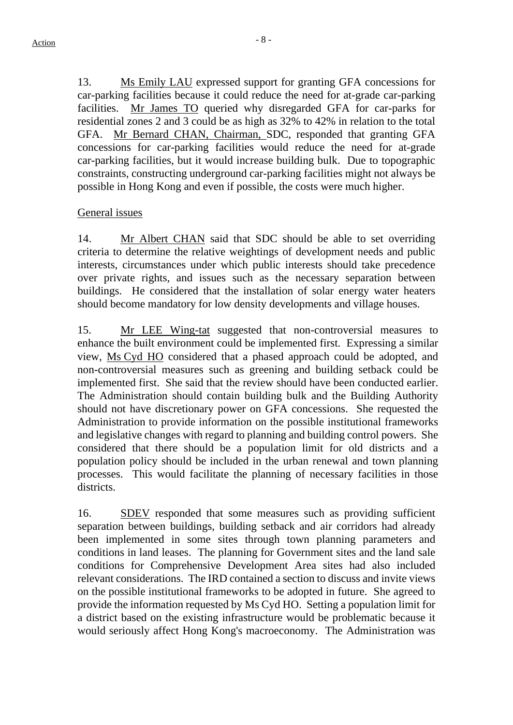13. Ms Emily LAU expressed support for granting GFA concessions for car-parking facilities because it could reduce the need for at-grade car-parking facilities. Mr James TO queried why disregarded GFA for car-parks for residential zones 2 and 3 could be as high as 32% to 42% in relation to the total GFA. Mr Bernard CHAN, Chairman, SDC, responded that granting GFA concessions for car-parking facilities would reduce the need for at-grade car-parking facilities, but it would increase building bulk. Due to topographic constraints, constructing underground car-parking facilities might not always be possible in Hong Kong and even if possible, the costs were much higher.

## General issues

14. Mr Albert CHAN said that SDC should be able to set overriding criteria to determine the relative weightings of development needs and public interests, circumstances under which public interests should take precedence over private rights, and issues such as the necessary separation between buildings. He considered that the installation of solar energy water heaters should become mandatory for low density developments and village houses.

15. Mr LEE Wing-tat suggested that non-controversial measures to enhance the built environment could be implemented first. Expressing a similar view, Ms Cyd HO considered that a phased approach could be adopted, and non-controversial measures such as greening and building setback could be implemented first. She said that the review should have been conducted earlier. The Administration should contain building bulk and the Building Authority should not have discretionary power on GFA concessions. She requested the Administration to provide information on the possible institutional frameworks and legislative changes with regard to planning and building control powers. She considered that there should be a population limit for old districts and a population policy should be included in the urban renewal and town planning processes. This would facilitate the planning of necessary facilities in those districts.

16. SDEV responded that some measures such as providing sufficient separation between buildings, building setback and air corridors had already been implemented in some sites through town planning parameters and conditions in land leases. The planning for Government sites and the land sale conditions for Comprehensive Development Area sites had also included relevant considerations. The IRD contained a section to discuss and invite views on the possible institutional frameworks to be adopted in future. She agreed to provide the information requested by Ms Cyd HO. Setting a population limit for a district based on the existing infrastructure would be problematic because it would seriously affect Hong Kong's macroeconomy. The Administration was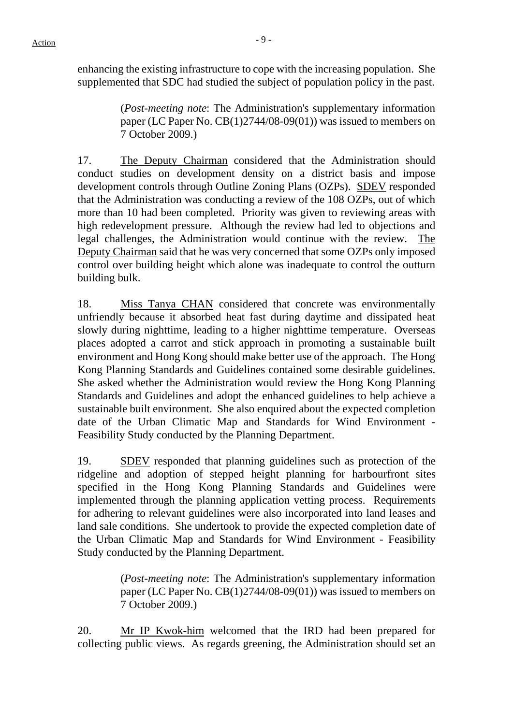enhancing the existing infrastructure to cope with the increasing population. She supplemented that SDC had studied the subject of population policy in the past.

> (*Post-meeting note*: The Administration's supplementary information paper (LC Paper No. CB(1)2744/08-09(01)) was issued to members on 7 October 2009.)

17. The Deputy Chairman considered that the Administration should conduct studies on development density on a district basis and impose development controls through Outline Zoning Plans (OZPs). SDEV responded that the Administration was conducting a review of the 108 OZPs, out of which more than 10 had been completed. Priority was given to reviewing areas with high redevelopment pressure. Although the review had led to objections and legal challenges, the Administration would continue with the review. The Deputy Chairman said that he was very concerned that some OZPs only imposed control over building height which alone was inadequate to control the outturn building bulk.

18. Miss Tanya CHAN considered that concrete was environmentally unfriendly because it absorbed heat fast during daytime and dissipated heat slowly during nighttime, leading to a higher nighttime temperature. Overseas places adopted a carrot and stick approach in promoting a sustainable built environment and Hong Kong should make better use of the approach. The Hong Kong Planning Standards and Guidelines contained some desirable guidelines. She asked whether the Administration would review the Hong Kong Planning Standards and Guidelines and adopt the enhanced guidelines to help achieve a sustainable built environment. She also enquired about the expected completion date of the Urban Climatic Map and Standards for Wind Environment - Feasibility Study conducted by the Planning Department.

19. SDEV responded that planning guidelines such as protection of the ridgeline and adoption of stepped height planning for harbourfront sites specified in the Hong Kong Planning Standards and Guidelines were implemented through the planning application vetting process. Requirements for adhering to relevant guidelines were also incorporated into land leases and land sale conditions. She undertook to provide the expected completion date of the Urban Climatic Map and Standards for Wind Environment - Feasibility Study conducted by the Planning Department.

> (*Post-meeting note*: The Administration's supplementary information paper (LC Paper No. CB(1)2744/08-09(01)) was issued to members on 7 October 2009.)

20. Mr IP Kwok-him welcomed that the IRD had been prepared for collecting public views. As regards greening, the Administration should set an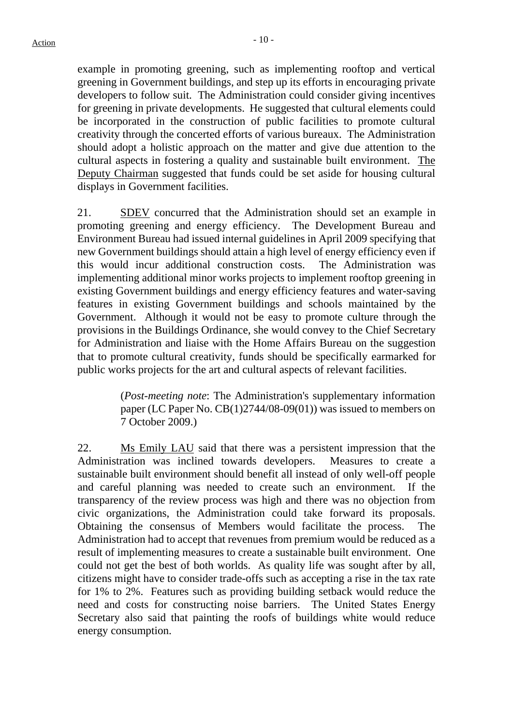example in promoting greening, such as implementing rooftop and vertical greening in Government buildings, and step up its efforts in encouraging private developers to follow suit. The Administration could consider giving incentives for greening in private developments. He suggested that cultural elements could be incorporated in the construction of public facilities to promote cultural creativity through the concerted efforts of various bureaux. The Administration should adopt a holistic approach on the matter and give due attention to the cultural aspects in fostering a quality and sustainable built environment. The Deputy Chairman suggested that funds could be set aside for housing cultural displays in Government facilities.

21. SDEV concurred that the Administration should set an example in promoting greening and energy efficiency. The Development Bureau and Environment Bureau had issued internal guidelines in April 2009 specifying that new Government buildings should attain a high level of energy efficiency even if this would incur additional construction costs. The Administration was implementing additional minor works projects to implement rooftop greening in existing Government buildings and energy efficiency features and water-saving features in existing Government buildings and schools maintained by the Government. Although it would not be easy to promote culture through the provisions in the Buildings Ordinance, she would convey to the Chief Secretary for Administration and liaise with the Home Affairs Bureau on the suggestion that to promote cultural creativity, funds should be specifically earmarked for public works projects for the art and cultural aspects of relevant facilities.

> (*Post-meeting note*: The Administration's supplementary information paper (LC Paper No. CB(1)2744/08-09(01)) was issued to members on 7 October 2009.)

22. Ms Emily LAU said that there was a persistent impression that the Administration was inclined towards developers. Measures to create a sustainable built environment should benefit all instead of only well-off people and careful planning was needed to create such an environment. If the transparency of the review process was high and there was no objection from civic organizations, the Administration could take forward its proposals. Obtaining the consensus of Members would facilitate the process. The Administration had to accept that revenues from premium would be reduced as a result of implementing measures to create a sustainable built environment. One could not get the best of both worlds. As quality life was sought after by all, citizens might have to consider trade-offs such as accepting a rise in the tax rate for 1% to 2%. Features such as providing building setback would reduce the need and costs for constructing noise barriers. The United States Energy Secretary also said that painting the roofs of buildings white would reduce energy consumption.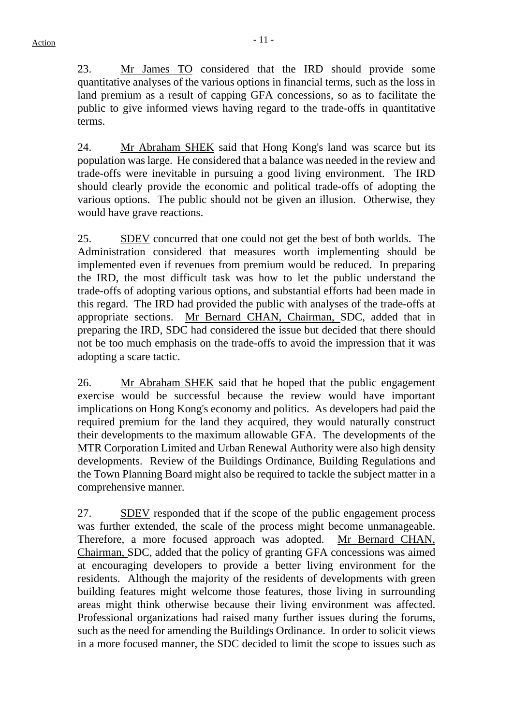23. Mr James TO considered that the IRD should provide some quantitative analyses of the various options in financial terms, such as the loss in land premium as a result of capping GFA concessions, so as to facilitate the public to give informed views having regard to the trade-offs in quantitative terms.

24. Mr Abraham SHEK said that Hong Kong's land was scarce but its population was large. He considered that a balance was needed in the review and trade-offs were inevitable in pursuing a good living environment. The IRD should clearly provide the economic and political trade-offs of adopting the various options. The public should not be given an illusion. Otherwise, they would have grave reactions.

25. SDEV concurred that one could not get the best of both worlds. The Administration considered that measures worth implementing should be implemented even if revenues from premium would be reduced. In preparing the IRD, the most difficult task was how to let the public understand the trade-offs of adopting various options, and substantial efforts had been made in this regard. The IRD had provided the public with analyses of the trade-offs at appropriate sections. Mr Bernard CHAN, Chairman, SDC, added that in preparing the IRD, SDC had considered the issue but decided that there should not be too much emphasis on the trade-offs to avoid the impression that it was adopting a scare tactic.

26. Mr Abraham SHEK said that he hoped that the public engagement exercise would be successful because the review would have important implications on Hong Kong's economy and politics. As developers had paid the required premium for the land they acquired, they would naturally construct their developments to the maximum allowable GFA. The developments of the MTR Corporation Limited and Urban Renewal Authority were also high density developments. Review of the Buildings Ordinance, Building Regulations and the Town Planning Board might also be required to tackle the subject matter in a comprehensive manner.

27. SDEV responded that if the scope of the public engagement process was further extended, the scale of the process might become unmanageable. Therefore, a more focused approach was adopted. Mr Bernard CHAN, Chairman, SDC, added that the policy of granting GFA concessions was aimed at encouraging developers to provide a better living environment for the residents. Although the majority of the residents of developments with green building features might welcome those features, those living in surrounding areas might think otherwise because their living environment was affected. Professional organizations had raised many further issues during the forums, such as the need for amending the Buildings Ordinance. In order to solicit views in a more focused manner, the SDC decided to limit the scope to issues such as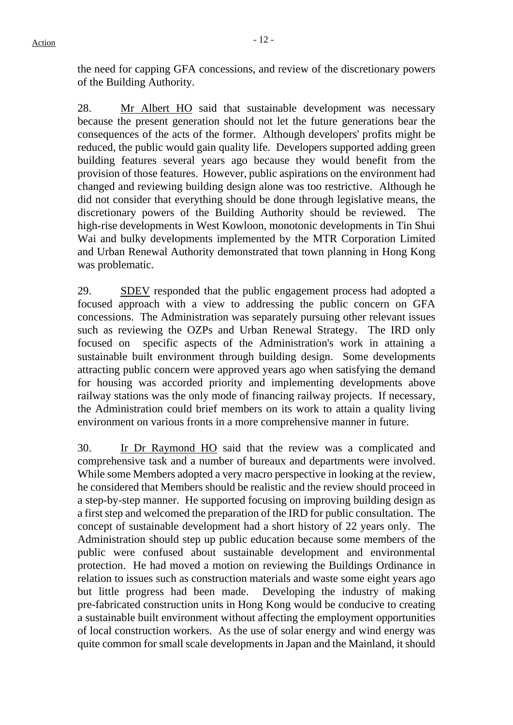the need for capping GFA concessions, and review of the discretionary powers of the Building Authority.

28. Mr Albert HO said that sustainable development was necessary because the present generation should not let the future generations bear the consequences of the acts of the former. Although developers' profits might be reduced, the public would gain quality life. Developers supported adding green building features several years ago because they would benefit from the provision of those features. However, public aspirations on the environment had changed and reviewing building design alone was too restrictive. Although he did not consider that everything should be done through legislative means, the discretionary powers of the Building Authority should be reviewed. The high-rise developments in West Kowloon, monotonic developments in Tin Shui Wai and bulky developments implemented by the MTR Corporation Limited and Urban Renewal Authority demonstrated that town planning in Hong Kong was problematic.

29. SDEV responded that the public engagement process had adopted a focused approach with a view to addressing the public concern on GFA concessions. The Administration was separately pursuing other relevant issues such as reviewing the OZPs and Urban Renewal Strategy. The IRD only focused on specific aspects of the Administration's work in attaining a sustainable built environment through building design. Some developments attracting public concern were approved years ago when satisfying the demand for housing was accorded priority and implementing developments above railway stations was the only mode of financing railway projects. If necessary, the Administration could brief members on its work to attain a quality living environment on various fronts in a more comprehensive manner in future.

30. Ir Dr Raymond HO said that the review was a complicated and comprehensive task and a number of bureaux and departments were involved. While some Members adopted a very macro perspective in looking at the review, he considered that Members should be realistic and the review should proceed in a step-by-step manner. He supported focusing on improving building design as a first step and welcomed the preparation of the IRD for public consultation. The concept of sustainable development had a short history of 22 years only. The Administration should step up public education because some members of the public were confused about sustainable development and environmental protection. He had moved a motion on reviewing the Buildings Ordinance in relation to issues such as construction materials and waste some eight years ago but little progress had been made. Developing the industry of making pre-fabricated construction units in Hong Kong would be conducive to creating a sustainable built environment without affecting the employment opportunities of local construction workers. As the use of solar energy and wind energy was quite common for small scale developments in Japan and the Mainland, it should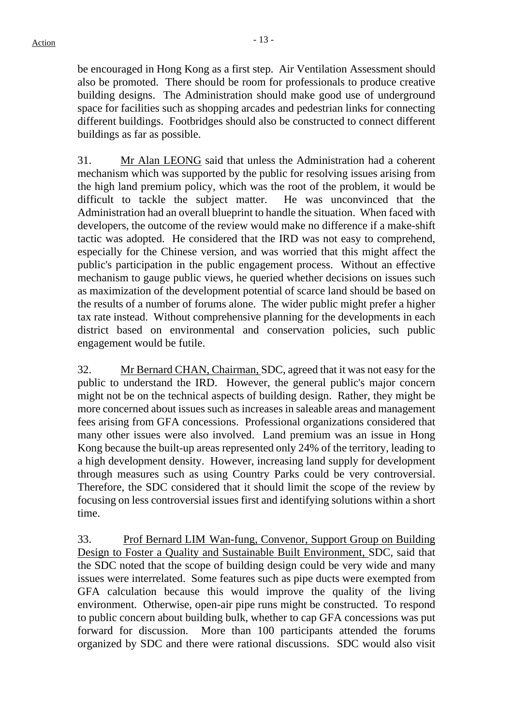be encouraged in Hong Kong as a first step. Air Ventilation Assessment should also be promoted. There should be room for professionals to produce creative building designs. The Administration should make good use of underground space for facilities such as shopping arcades and pedestrian links for connecting different buildings. Footbridges should also be constructed to connect different buildings as far as possible.

31. Mr Alan LEONG said that unless the Administration had a coherent mechanism which was supported by the public for resolving issues arising from the high land premium policy, which was the root of the problem, it would be difficult to tackle the subject matter. He was unconvinced that the Administration had an overall blueprint to handle the situation. When faced with developers, the outcome of the review would make no difference if a make-shift tactic was adopted. He considered that the IRD was not easy to comprehend, especially for the Chinese version, and was worried that this might affect the public's participation in the public engagement process. Without an effective mechanism to gauge public views, he queried whether decisions on issues such as maximization of the development potential of scarce land should be based on the results of a number of forums alone. The wider public might prefer a higher tax rate instead. Without comprehensive planning for the developments in each district based on environmental and conservation policies, such public engagement would be futile.

32. Mr Bernard CHAN, Chairman, SDC, agreed that it was not easy for the public to understand the IRD. However, the general public's major concern might not be on the technical aspects of building design. Rather, they might be more concerned about issues such as increases in saleable areas and management fees arising from GFA concessions. Professional organizations considered that many other issues were also involved. Land premium was an issue in Hong Kong because the built-up areas represented only 24% of the territory, leading to a high development density. However, increasing land supply for development through measures such as using Country Parks could be very controversial. Therefore, the SDC considered that it should limit the scope of the review by focusing on less controversial issues first and identifying solutions within a short time.

33. Prof Bernard LIM Wan-fung, Convenor, Support Group on Building Design to Foster a Quality and Sustainable Built Environment, SDC, said that the SDC noted that the scope of building design could be very wide and many issues were interrelated. Some features such as pipe ducts were exempted from GFA calculation because this would improve the quality of the living environment. Otherwise, open-air pipe runs might be constructed. To respond to public concern about building bulk, whether to cap GFA concessions was put forward for discussion. More than 100 participants attended the forums organized by SDC and there were rational discussions. SDC would also visit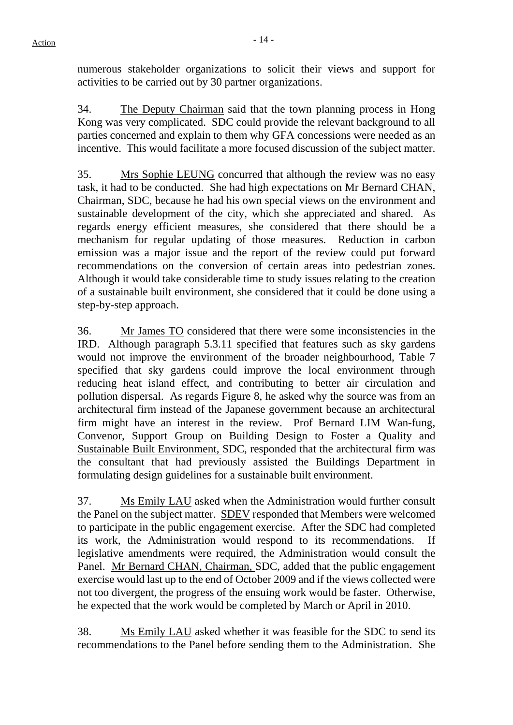numerous stakeholder organizations to solicit their views and support for activities to be carried out by 30 partner organizations.

34. The Deputy Chairman said that the town planning process in Hong Kong was very complicated. SDC could provide the relevant background to all parties concerned and explain to them why GFA concessions were needed as an incentive. This would facilitate a more focused discussion of the subject matter.

35. Mrs Sophie LEUNG concurred that although the review was no easy task, it had to be conducted. She had high expectations on Mr Bernard CHAN, Chairman, SDC, because he had his own special views on the environment and sustainable development of the city, which she appreciated and shared. As regards energy efficient measures, she considered that there should be a mechanism for regular updating of those measures. Reduction in carbon emission was a major issue and the report of the review could put forward recommendations on the conversion of certain areas into pedestrian zones. Although it would take considerable time to study issues relating to the creation of a sustainable built environment, she considered that it could be done using a step-by-step approach.

36. Mr James TO considered that there were some inconsistencies in the IRD. Although paragraph 5.3.11 specified that features such as sky gardens would not improve the environment of the broader neighbourhood, Table 7 specified that sky gardens could improve the local environment through reducing heat island effect, and contributing to better air circulation and pollution dispersal. As regards Figure 8, he asked why the source was from an architectural firm instead of the Japanese government because an architectural firm might have an interest in the review. Prof Bernard LIM Wan-fung, Convenor, Support Group on Building Design to Foster a Quality and Sustainable Built Environment, SDC, responded that the architectural firm was the consultant that had previously assisted the Buildings Department in formulating design guidelines for a sustainable built environment.

37. Ms Emily LAU asked when the Administration would further consult the Panel on the subject matter. SDEV responded that Members were welcomed to participate in the public engagement exercise. After the SDC had completed its work, the Administration would respond to its recommendations. If legislative amendments were required, the Administration would consult the Panel. Mr Bernard CHAN, Chairman, SDC, added that the public engagement exercise would last up to the end of October 2009 and if the views collected were not too divergent, the progress of the ensuing work would be faster. Otherwise, he expected that the work would be completed by March or April in 2010.

38. Ms Emily LAU asked whether it was feasible for the SDC to send its recommendations to the Panel before sending them to the Administration. She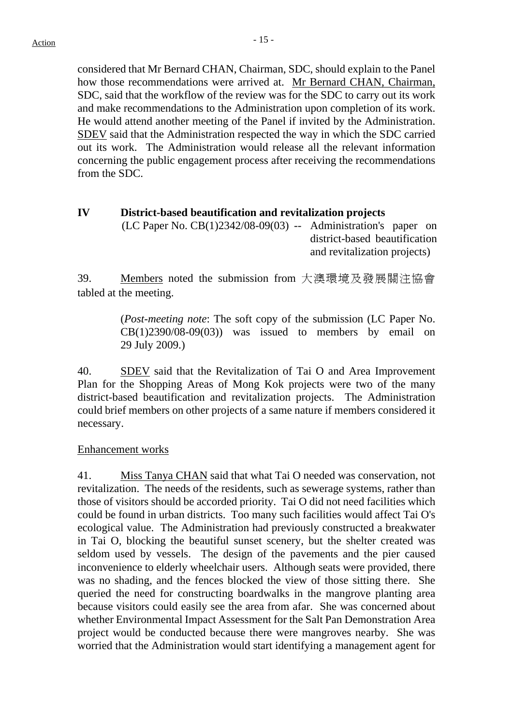considered that Mr Bernard CHAN, Chairman, SDC, should explain to the Panel how those recommendations were arrived at. Mr Bernard CHAN, Chairman, SDC, said that the workflow of the review was for the SDC to carry out its work and make recommendations to the Administration upon completion of its work. He would attend another meeting of the Panel if invited by the Administration. SDEV said that the Administration respected the way in which the SDC carried out its work. The Administration would release all the relevant information concerning the public engagement process after receiving the recommendations from the SDC.

## **IV District-based beautification and revitalization projects**

(LC Paper No. CB(1)2342/08-09(03) -- Administration's paper on district-based beautification and revitalization projects)

39. Members noted the submission from 大澳環境及發展關注協會 tabled at the meeting.

> (*Post-meeting note*: The soft copy of the submission (LC Paper No.  $CB(1)2390/08-09(03)$  was issued to members by email on 29 July 2009.)

40. SDEV said that the Revitalization of Tai O and Area Improvement Plan for the Shopping Areas of Mong Kok projects were two of the many district-based beautification and revitalization projects. The Administration could brief members on other projects of a same nature if members considered it necessary.

#### Enhancement works

41. Miss Tanya CHAN said that what Tai O needed was conservation, not revitalization. The needs of the residents, such as sewerage systems, rather than those of visitors should be accorded priority. Tai O did not need facilities which could be found in urban districts. Too many such facilities would affect Tai O's ecological value. The Administration had previously constructed a breakwater in Tai O, blocking the beautiful sunset scenery, but the shelter created was seldom used by vessels. The design of the pavements and the pier caused inconvenience to elderly wheelchair users. Although seats were provided, there was no shading, and the fences blocked the view of those sitting there. She queried the need for constructing boardwalks in the mangrove planting area because visitors could easily see the area from afar. She was concerned about whether Environmental Impact Assessment for the Salt Pan Demonstration Area project would be conducted because there were mangroves nearby. She was worried that the Administration would start identifying a management agent for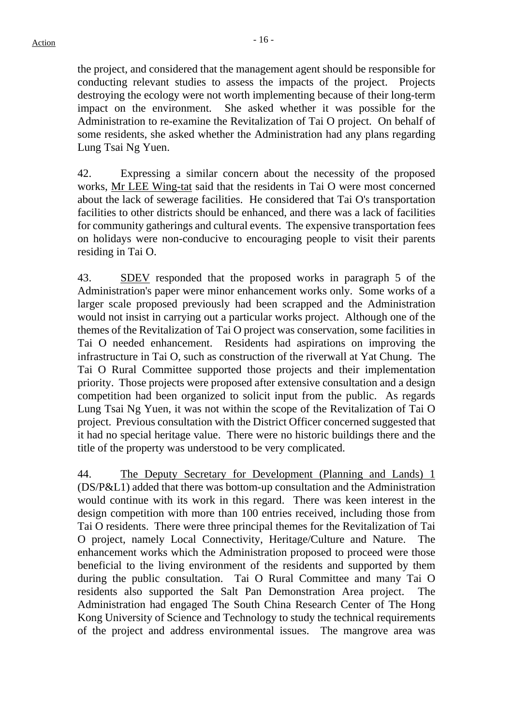the project, and considered that the management agent should be responsible for conducting relevant studies to assess the impacts of the project. Projects destroying the ecology were not worth implementing because of their long-term impact on the environment. She asked whether it was possible for the Administration to re-examine the Revitalization of Tai O project. On behalf of some residents, she asked whether the Administration had any plans regarding Lung Tsai Ng Yuen.

42. Expressing a similar concern about the necessity of the proposed works, Mr LEE Wing-tat said that the residents in Tai O were most concerned about the lack of sewerage facilities. He considered that Tai O's transportation facilities to other districts should be enhanced, and there was a lack of facilities for community gatherings and cultural events. The expensive transportation fees on holidays were non-conducive to encouraging people to visit their parents residing in Tai O.

43. SDEV responded that the proposed works in paragraph 5 of the Administration's paper were minor enhancement works only. Some works of a larger scale proposed previously had been scrapped and the Administration would not insist in carrying out a particular works project. Although one of the themes of the Revitalization of Tai O project was conservation, some facilities in Tai O needed enhancement. Residents had aspirations on improving the infrastructure in Tai O, such as construction of the riverwall at Yat Chung. The Tai O Rural Committee supported those projects and their implementation priority. Those projects were proposed after extensive consultation and a design competition had been organized to solicit input from the public. As regards Lung Tsai Ng Yuen, it was not within the scope of the Revitalization of Tai O project. Previous consultation with the District Officer concerned suggested that it had no special heritage value. There were no historic buildings there and the title of the property was understood to be very complicated.

44. The Deputy Secretary for Development (Planning and Lands) 1 (DS/P&L1) added that there was bottom-up consultation and the Administration would continue with its work in this regard. There was keen interest in the design competition with more than 100 entries received, including those from Tai O residents. There were three principal themes for the Revitalization of Tai O project, namely Local Connectivity, Heritage/Culture and Nature. The enhancement works which the Administration proposed to proceed were those beneficial to the living environment of the residents and supported by them during the public consultation. Tai O Rural Committee and many Tai O residents also supported the Salt Pan Demonstration Area project. The Administration had engaged The South China Research Center of The Hong Kong University of Science and Technology to study the technical requirements of the project and address environmental issues. The mangrove area was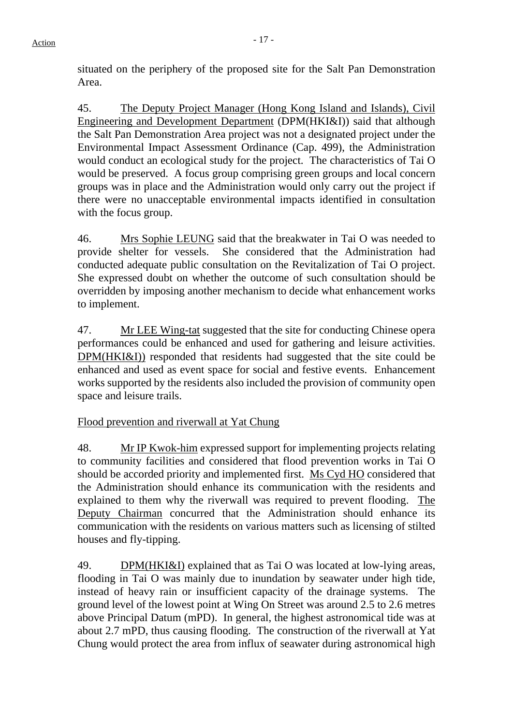situated on the periphery of the proposed site for the Salt Pan Demonstration Area.

45. The Deputy Project Manager (Hong Kong Island and Islands), Civil Engineering and Development Department (DPM(HKI&I)) said that although the Salt Pan Demonstration Area project was not a designated project under the Environmental Impact Assessment Ordinance (Cap. 499), the Administration would conduct an ecological study for the project. The characteristics of Tai O would be preserved. A focus group comprising green groups and local concern groups was in place and the Administration would only carry out the project if there were no unacceptable environmental impacts identified in consultation with the focus group.

46. Mrs Sophie LEUNG said that the breakwater in Tai O was needed to provide shelter for vessels. She considered that the Administration had conducted adequate public consultation on the Revitalization of Tai O project. She expressed doubt on whether the outcome of such consultation should be overridden by imposing another mechanism to decide what enhancement works to implement.

47. Mr LEE Wing-tat suggested that the site for conducting Chinese opera performances could be enhanced and used for gathering and leisure activities. DPM(HKI&I)) responded that residents had suggested that the site could be enhanced and used as event space for social and festive events. Enhancement works supported by the residents also included the provision of community open space and leisure trails.

# Flood prevention and riverwall at Yat Chung

48. Mr IP Kwok-him expressed support for implementing projects relating to community facilities and considered that flood prevention works in Tai O should be accorded priority and implemented first. Ms Cyd HO considered that the Administration should enhance its communication with the residents and explained to them why the riverwall was required to prevent flooding. The Deputy Chairman concurred that the Administration should enhance its communication with the residents on various matters such as licensing of stilted houses and fly-tipping.

49. DPM(HKI&I) explained that as Tai O was located at low-lying areas, flooding in Tai O was mainly due to inundation by seawater under high tide, instead of heavy rain or insufficient capacity of the drainage systems. The ground level of the lowest point at Wing On Street was around 2.5 to 2.6 metres above Principal Datum (mPD). In general, the highest astronomical tide was at about 2.7 mPD, thus causing flooding. The construction of the riverwall at Yat Chung would protect the area from influx of seawater during astronomical high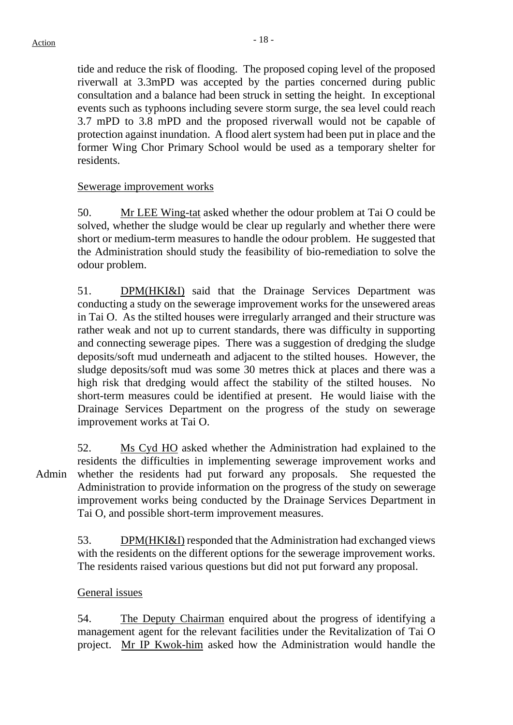tide and reduce the risk of flooding. The proposed coping level of the proposed riverwall at 3.3mPD was accepted by the parties concerned during public consultation and a balance had been struck in setting the height. In exceptional events such as typhoons including severe storm surge, the sea level could reach 3.7 mPD to 3.8 mPD and the proposed riverwall would not be capable of protection against inundation. A flood alert system had been put in place and the former Wing Chor Primary School would be used as a temporary shelter for residents.

## Sewerage improvement works

50. Mr LEE Wing-tat asked whether the odour problem at Tai O could be solved, whether the sludge would be clear up regularly and whether there were short or medium-term measures to handle the odour problem. He suggested that the Administration should study the feasibility of bio-remediation to solve the odour problem.

51. DPM(HKI&I) said that the Drainage Services Department was conducting a study on the sewerage improvement works for the unsewered areas in Tai O. As the stilted houses were irregularly arranged and their structure was rather weak and not up to current standards, there was difficulty in supporting and connecting sewerage pipes. There was a suggestion of dredging the sludge deposits/soft mud underneath and adjacent to the stilted houses. However, the sludge deposits/soft mud was some 30 metres thick at places and there was a high risk that dredging would affect the stability of the stilted houses. No short-term measures could be identified at present. He would liaise with the Drainage Services Department on the progress of the study on sewerage improvement works at Tai O.

Admin 52. Ms Cyd HO asked whether the Administration had explained to the residents the difficulties in implementing sewerage improvement works and whether the residents had put forward any proposals. She requested the Administration to provide information on the progress of the study on sewerage improvement works being conducted by the Drainage Services Department in Tai O, and possible short-term improvement measures.

> 53. DPM(HKI&I) responded that the Administration had exchanged views with the residents on the different options for the sewerage improvement works. The residents raised various questions but did not put forward any proposal.

### General issues

54. The Deputy Chairman enquired about the progress of identifying a management agent for the relevant facilities under the Revitalization of Tai O project. Mr IP Kwok-him asked how the Administration would handle the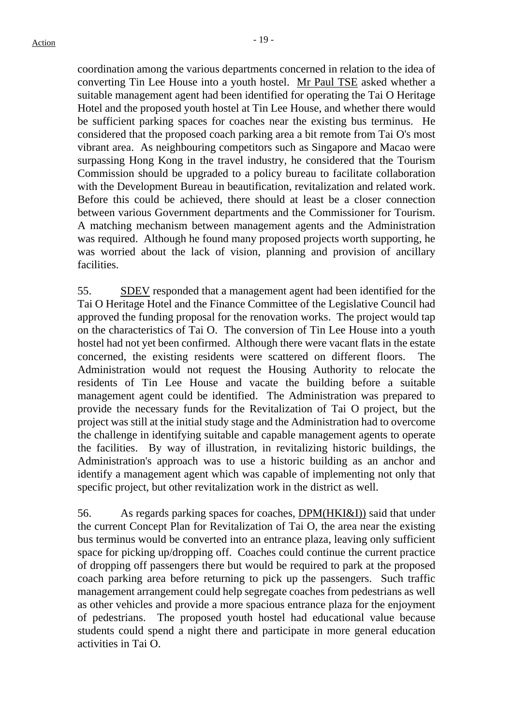coordination among the various departments concerned in relation to the idea of converting Tin Lee House into a youth hostel. Mr Paul TSE asked whether a suitable management agent had been identified for operating the Tai O Heritage Hotel and the proposed youth hostel at Tin Lee House, and whether there would be sufficient parking spaces for coaches near the existing bus terminus. He considered that the proposed coach parking area a bit remote from Tai O's most vibrant area. As neighbouring competitors such as Singapore and Macao were surpassing Hong Kong in the travel industry, he considered that the Tourism Commission should be upgraded to a policy bureau to facilitate collaboration with the Development Bureau in beautification, revitalization and related work. Before this could be achieved, there should at least be a closer connection between various Government departments and the Commissioner for Tourism. A matching mechanism between management agents and the Administration was required. Although he found many proposed projects worth supporting, he was worried about the lack of vision, planning and provision of ancillary facilities.

55. SDEV responded that a management agent had been identified for the Tai O Heritage Hotel and the Finance Committee of the Legislative Council had approved the funding proposal for the renovation works. The project would tap on the characteristics of Tai O. The conversion of Tin Lee House into a youth hostel had not yet been confirmed. Although there were vacant flats in the estate concerned, the existing residents were scattered on different floors. The Administration would not request the Housing Authority to relocate the residents of Tin Lee House and vacate the building before a suitable management agent could be identified. The Administration was prepared to provide the necessary funds for the Revitalization of Tai O project, but the project was still at the initial study stage and the Administration had to overcome the challenge in identifying suitable and capable management agents to operate the facilities. By way of illustration, in revitalizing historic buildings, the Administration's approach was to use a historic building as an anchor and identify a management agent which was capable of implementing not only that specific project, but other revitalization work in the district as well.

56. As regards parking spaces for coaches, DPM(HKI&I)) said that under the current Concept Plan for Revitalization of Tai O, the area near the existing bus terminus would be converted into an entrance plaza, leaving only sufficient space for picking up/dropping off. Coaches could continue the current practice of dropping off passengers there but would be required to park at the proposed coach parking area before returning to pick up the passengers. Such traffic management arrangement could help segregate coaches from pedestrians as well as other vehicles and provide a more spacious entrance plaza for the enjoyment of pedestrians. The proposed youth hostel had educational value because students could spend a night there and participate in more general education activities in Tai O.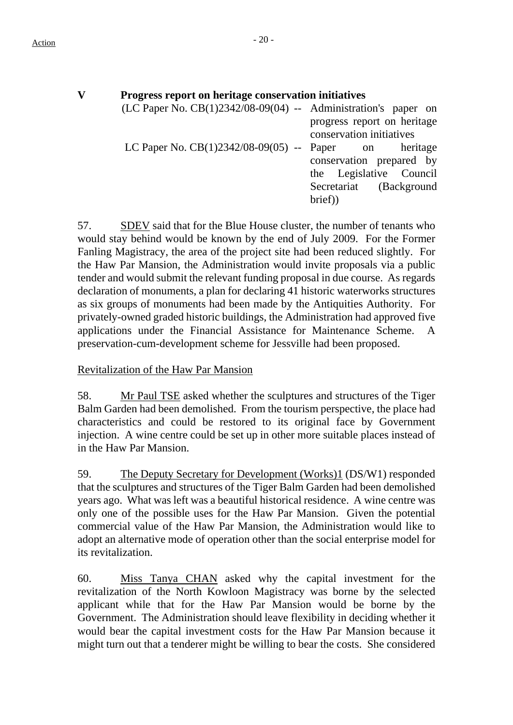| $\mathbf{V}$ | Progress report on heritage conservation initiatives               |                             |  |  |  |
|--------------|--------------------------------------------------------------------|-----------------------------|--|--|--|
|              | $(LC$ Paper No. $CB(1)2342/08-09(04)$ -- Administration's paper on |                             |  |  |  |
|              |                                                                    | progress report on heritage |  |  |  |
|              |                                                                    | conservation initiatives    |  |  |  |
|              | LC Paper No. $CB(1)2342/08-09(05)$ -- Paper on heritage            |                             |  |  |  |
|              |                                                                    | conservation prepared by    |  |  |  |
|              |                                                                    | the Legislative Council     |  |  |  |
|              |                                                                    | Secretariat (Background     |  |  |  |
|              |                                                                    | brief)                      |  |  |  |
|              |                                                                    |                             |  |  |  |

57. SDEV said that for the Blue House cluster, the number of tenants who would stay behind would be known by the end of July 2009. For the Former Fanling Magistracy, the area of the project site had been reduced slightly. For the Haw Par Mansion, the Administration would invite proposals via a public tender and would submit the relevant funding proposal in due course. As regards declaration of monuments, a plan for declaring 41 historic waterworks structures as six groups of monuments had been made by the Antiquities Authority. For privately-owned graded historic buildings, the Administration had approved five applications under the Financial Assistance for Maintenance Scheme. A preservation-cum-development scheme for Jessville had been proposed.

### Revitalization of the Haw Par Mansion

58. Mr Paul TSE asked whether the sculptures and structures of the Tiger Balm Garden had been demolished. From the tourism perspective, the place had characteristics and could be restored to its original face by Government injection. A wine centre could be set up in other more suitable places instead of in the Haw Par Mansion.

59. The Deputy Secretary for Development (Works)1 (DS/W1) responded that the sculptures and structures of the Tiger Balm Garden had been demolished years ago. What was left was a beautiful historical residence. A wine centre was only one of the possible uses for the Haw Par Mansion. Given the potential commercial value of the Haw Par Mansion, the Administration would like to adopt an alternative mode of operation other than the social enterprise model for its revitalization.

60. Miss Tanya CHAN asked why the capital investment for the revitalization of the North Kowloon Magistracy was borne by the selected applicant while that for the Haw Par Mansion would be borne by the Government. The Administration should leave flexibility in deciding whether it would bear the capital investment costs for the Haw Par Mansion because it might turn out that a tenderer might be willing to bear the costs. She considered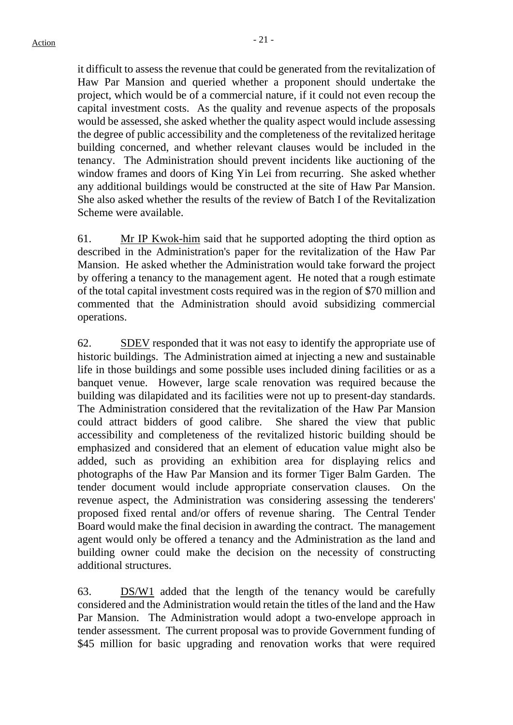it difficult to assess the revenue that could be generated from the revitalization of Haw Par Mansion and queried whether a proponent should undertake the project, which would be of a commercial nature, if it could not even recoup the capital investment costs. As the quality and revenue aspects of the proposals would be assessed, she asked whether the quality aspect would include assessing the degree of public accessibility and the completeness of the revitalized heritage building concerned, and whether relevant clauses would be included in the tenancy. The Administration should prevent incidents like auctioning of the window frames and doors of King Yin Lei from recurring. She asked whether any additional buildings would be constructed at the site of Haw Par Mansion. She also asked whether the results of the review of Batch I of the Revitalization Scheme were available.

61. Mr IP Kwok-him said that he supported adopting the third option as described in the Administration's paper for the revitalization of the Haw Par Mansion. He asked whether the Administration would take forward the project by offering a tenancy to the management agent. He noted that a rough estimate of the total capital investment costs required was in the region of \$70 million and commented that the Administration should avoid subsidizing commercial operations.

62. SDEV responded that it was not easy to identify the appropriate use of historic buildings. The Administration aimed at injecting a new and sustainable life in those buildings and some possible uses included dining facilities or as a banquet venue. However, large scale renovation was required because the building was dilapidated and its facilities were not up to present-day standards. The Administration considered that the revitalization of the Haw Par Mansion could attract bidders of good calibre. She shared the view that public accessibility and completeness of the revitalized historic building should be emphasized and considered that an element of education value might also be added, such as providing an exhibition area for displaying relics and photographs of the Haw Par Mansion and its former Tiger Balm Garden. The tender document would include appropriate conservation clauses. On the revenue aspect, the Administration was considering assessing the tenderers' proposed fixed rental and/or offers of revenue sharing. The Central Tender Board would make the final decision in awarding the contract. The management agent would only be offered a tenancy and the Administration as the land and building owner could make the decision on the necessity of constructing additional structures.

63. DS/W1 added that the length of the tenancy would be carefully considered and the Administration would retain the titles of the land and the Haw Par Mansion. The Administration would adopt a two-envelope approach in tender assessment. The current proposal was to provide Government funding of \$45 million for basic upgrading and renovation works that were required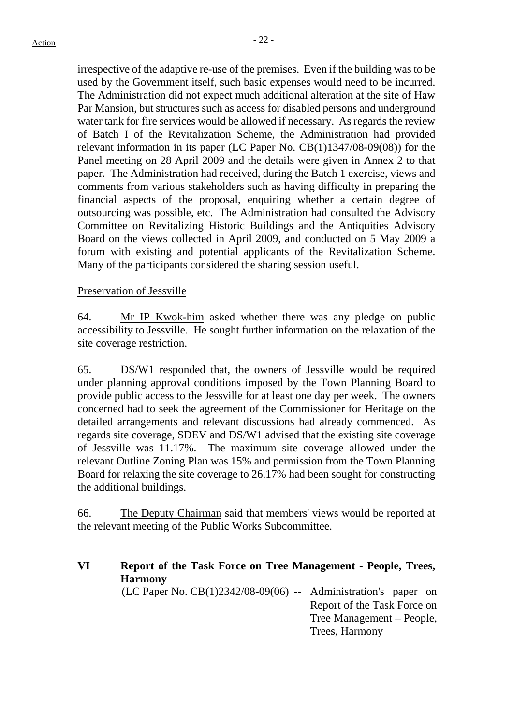irrespective of the adaptive re-use of the premises. Even if the building was to be used by the Government itself, such basic expenses would need to be incurred. The Administration did not expect much additional alteration at the site of Haw Par Mansion, but structures such as access for disabled persons and underground water tank for fire services would be allowed if necessary. As regards the review of Batch I of the Revitalization Scheme, the Administration had provided relevant information in its paper (LC Paper No. CB(1)1347/08-09(08)) for the Panel meeting on 28 April 2009 and the details were given in Annex 2 to that paper. The Administration had received, during the Batch 1 exercise, views and comments from various stakeholders such as having difficulty in preparing the financial aspects of the proposal, enquiring whether a certain degree of outsourcing was possible, etc. The Administration had consulted the Advisory Committee on Revitalizing Historic Buildings and the Antiquities Advisory Board on the views collected in April 2009, and conducted on 5 May 2009 a forum with existing and potential applicants of the Revitalization Scheme. Many of the participants considered the sharing session useful.

## Preservation of Jessville

64. Mr IP Kwok-him asked whether there was any pledge on public accessibility to Jessville. He sought further information on the relaxation of the site coverage restriction.

65. DS/W1 responded that, the owners of Jessville would be required under planning approval conditions imposed by the Town Planning Board to provide public access to the Jessville for at least one day per week. The owners concerned had to seek the agreement of the Commissioner for Heritage on the detailed arrangements and relevant discussions had already commenced. As regards site coverage, SDEV and DS/W1 advised that the existing site coverage of Jessville was 11.17%. The maximum site coverage allowed under the relevant Outline Zoning Plan was 15% and permission from the Town Planning Board for relaxing the site coverage to 26.17% had been sought for constructing the additional buildings.

66. The Deputy Chairman said that members' views would be reported at the relevant meeting of the Public Works Subcommittee.

**VI Report of the Task Force on Tree Management - People, Trees, Harmony**  (LC Paper No. CB(1)2342/08-09(06) -- Administration's paper on Report of the Task Force on Tree Management – People, Trees, Harmony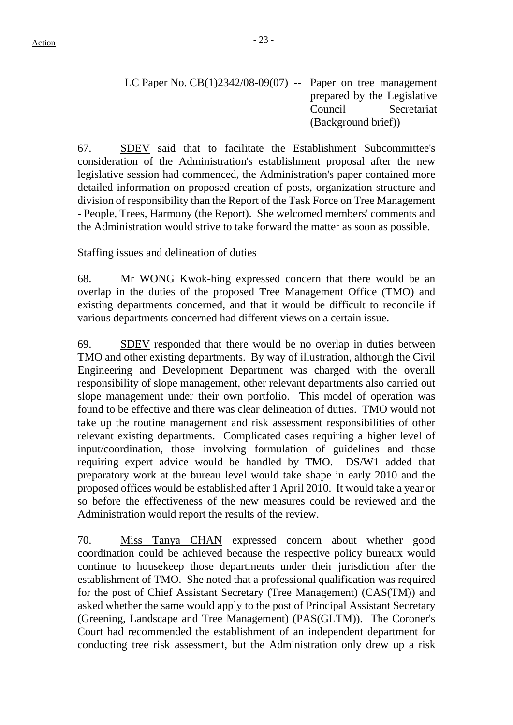LC Paper No.  $CB(1)2342/08-09(07)$  -- Paper on tree management prepared by the Legislative Council Secretariat (Background brief))

67. SDEV said that to facilitate the Establishment Subcommittee's consideration of the Administration's establishment proposal after the new legislative session had commenced, the Administration's paper contained more detailed information on proposed creation of posts, organization structure and division of responsibility than the Report of the Task Force on Tree Management - People, Trees, Harmony (the Report). She welcomed members' comments and the Administration would strive to take forward the matter as soon as possible.

## Staffing issues and delineation of duties

68. Mr WONG Kwok-hing expressed concern that there would be an overlap in the duties of the proposed Tree Management Office (TMO) and existing departments concerned, and that it would be difficult to reconcile if various departments concerned had different views on a certain issue.

69. SDEV responded that there would be no overlap in duties between TMO and other existing departments. By way of illustration, although the Civil Engineering and Development Department was charged with the overall responsibility of slope management, other relevant departments also carried out slope management under their own portfolio. This model of operation was found to be effective and there was clear delineation of duties. TMO would not take up the routine management and risk assessment responsibilities of other relevant existing departments. Complicated cases requiring a higher level of input/coordination, those involving formulation of guidelines and those requiring expert advice would be handled by TMO. DS/W1 added that preparatory work at the bureau level would take shape in early 2010 and the proposed offices would be established after 1 April 2010. It would take a year or so before the effectiveness of the new measures could be reviewed and the Administration would report the results of the review.

70. Miss Tanya CHAN expressed concern about whether good coordination could be achieved because the respective policy bureaux would continue to housekeep those departments under their jurisdiction after the establishment of TMO. She noted that a professional qualification was required for the post of Chief Assistant Secretary (Tree Management) (CAS(TM)) and asked whether the same would apply to the post of Principal Assistant Secretary (Greening, Landscape and Tree Management) (PAS(GLTM)). The Coroner's Court had recommended the establishment of an independent department for conducting tree risk assessment, but the Administration only drew up a risk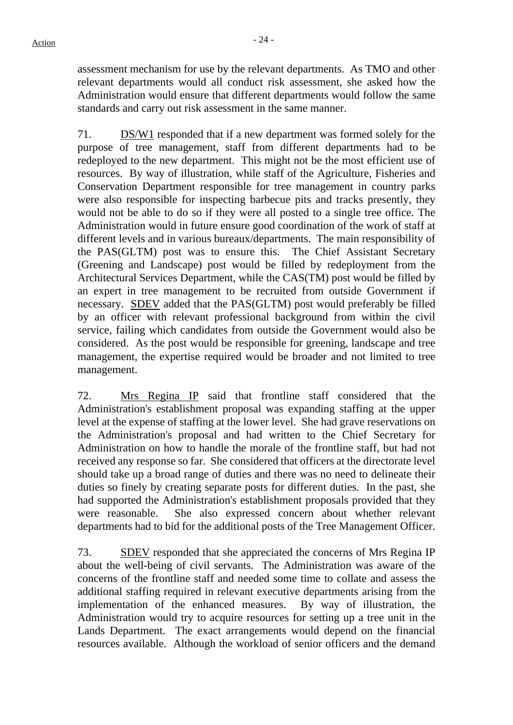assessment mechanism for use by the relevant departments. As TMO and other relevant departments would all conduct risk assessment, she asked how the Administration would ensure that different departments would follow the same standards and carry out risk assessment in the same manner.

71. DS/W1 responded that if a new department was formed solely for the purpose of tree management, staff from different departments had to be redeployed to the new department. This might not be the most efficient use of resources. By way of illustration, while staff of the Agriculture, Fisheries and Conservation Department responsible for tree management in country parks were also responsible for inspecting barbecue pits and tracks presently, they would not be able to do so if they were all posted to a single tree office. The Administration would in future ensure good coordination of the work of staff at different levels and in various bureaux/departments. The main responsibility of the PAS(GLTM) post was to ensure this. The Chief Assistant Secretary (Greening and Landscape) post would be filled by redeployment from the Architectural Services Department, while the CAS(TM) post would be filled by an expert in tree management to be recruited from outside Government if necessary. SDEV added that the PAS(GLTM) post would preferably be filled by an officer with relevant professional background from within the civil service, failing which candidates from outside the Government would also be considered. As the post would be responsible for greening, landscape and tree management, the expertise required would be broader and not limited to tree management.

72. Mrs Regina IP said that frontline staff considered that the Administration's establishment proposal was expanding staffing at the upper level at the expense of staffing at the lower level. She had grave reservations on the Administration's proposal and had written to the Chief Secretary for Administration on how to handle the morale of the frontline staff, but had not received any response so far. She considered that officers at the directorate level should take up a broad range of duties and there was no need to delineate their duties so finely by creating separate posts for different duties. In the past, she had supported the Administration's establishment proposals provided that they were reasonable. She also expressed concern about whether relevant departments had to bid for the additional posts of the Tree Management Officer.

73. SDEV responded that she appreciated the concerns of Mrs Regina IP about the well-being of civil servants. The Administration was aware of the concerns of the frontline staff and needed some time to collate and assess the additional staffing required in relevant executive departments arising from the implementation of the enhanced measures. By way of illustration, the Administration would try to acquire resources for setting up a tree unit in the Lands Department. The exact arrangements would depend on the financial resources available. Although the workload of senior officers and the demand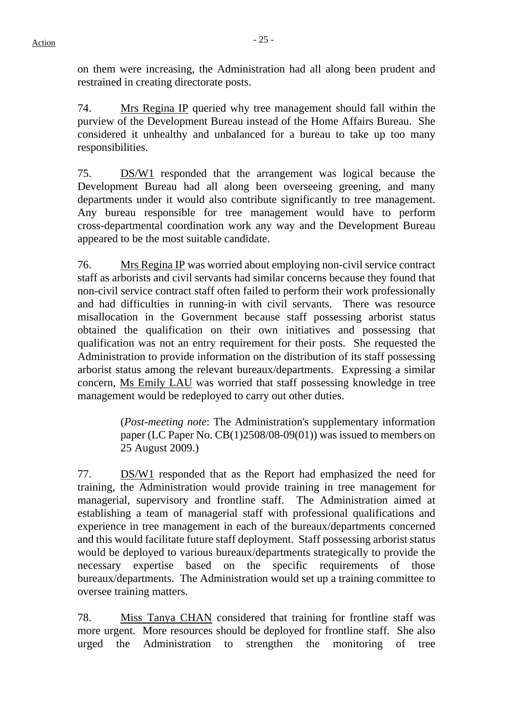on them were increasing, the Administration had all along been prudent and restrained in creating directorate posts.

74. Mrs Regina IP queried why tree management should fall within the purview of the Development Bureau instead of the Home Affairs Bureau. She considered it unhealthy and unbalanced for a bureau to take up too many responsibilities.

75. DS/W1 responded that the arrangement was logical because the Development Bureau had all along been overseeing greening, and many departments under it would also contribute significantly to tree management. Any bureau responsible for tree management would have to perform cross-departmental coordination work any way and the Development Bureau appeared to be the most suitable candidate.

76. Mrs Regina IP was worried about employing non-civil service contract staff as arborists and civil servants had similar concerns because they found that non-civil service contract staff often failed to perform their work professionally and had difficulties in running-in with civil servants. There was resource misallocation in the Government because staff possessing arborist status obtained the qualification on their own initiatives and possessing that qualification was not an entry requirement for their posts. She requested the Administration to provide information on the distribution of its staff possessing arborist status among the relevant bureaux/departments. Expressing a similar concern, Ms Emily LAU was worried that staff possessing knowledge in tree management would be redeployed to carry out other duties.

> (*Post-meeting note*: The Administration's supplementary information paper (LC Paper No. CB(1)2508/08-09(01)) was issued to members on 25 August 2009.)

77. DS/W1 responded that as the Report had emphasized the need for training, the Administration would provide training in tree management for managerial, supervisory and frontline staff. The Administration aimed at establishing a team of managerial staff with professional qualifications and experience in tree management in each of the bureaux/departments concerned and this would facilitate future staff deployment. Staff possessing arborist status would be deployed to various bureaux/departments strategically to provide the necessary expertise based on the specific requirements of those bureaux/departments. The Administration would set up a training committee to oversee training matters.

78. Miss Tanya CHAN considered that training for frontline staff was more urgent. More resources should be deployed for frontline staff. She also urged the Administration to strengthen the monitoring of tree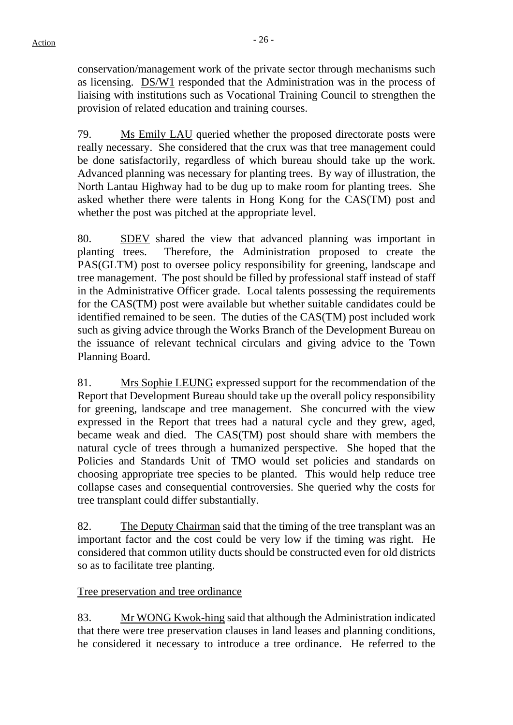conservation/management work of the private sector through mechanisms such as licensing. DS/W1 responded that the Administration was in the process of liaising with institutions such as Vocational Training Council to strengthen the provision of related education and training courses.

79. Ms Emily LAU queried whether the proposed directorate posts were really necessary. She considered that the crux was that tree management could be done satisfactorily, regardless of which bureau should take up the work. Advanced planning was necessary for planting trees. By way of illustration, the North Lantau Highway had to be dug up to make room for planting trees. She asked whether there were talents in Hong Kong for the CAS(TM) post and whether the post was pitched at the appropriate level.

80. SDEV shared the view that advanced planning was important in planting trees. Therefore, the Administration proposed to create the PAS(GLTM) post to oversee policy responsibility for greening, landscape and tree management. The post should be filled by professional staff instead of staff in the Administrative Officer grade. Local talents possessing the requirements for the CAS(TM) post were available but whether suitable candidates could be identified remained to be seen. The duties of the CAS(TM) post included work such as giving advice through the Works Branch of the Development Bureau on the issuance of relevant technical circulars and giving advice to the Town Planning Board.

81. Mrs Sophie LEUNG expressed support for the recommendation of the Report that Development Bureau should take up the overall policy responsibility for greening, landscape and tree management. She concurred with the view expressed in the Report that trees had a natural cycle and they grew, aged, became weak and died. The CAS(TM) post should share with members the natural cycle of trees through a humanized perspective. She hoped that the Policies and Standards Unit of TMO would set policies and standards on choosing appropriate tree species to be planted. This would help reduce tree collapse cases and consequential controversies. She queried why the costs for tree transplant could differ substantially.

82. The Deputy Chairman said that the timing of the tree transplant was an important factor and the cost could be very low if the timing was right. He considered that common utility ducts should be constructed even for old districts so as to facilitate tree planting.

# Tree preservation and tree ordinance

83. Mr WONG Kwok-hing said that although the Administration indicated that there were tree preservation clauses in land leases and planning conditions, he considered it necessary to introduce a tree ordinance. He referred to the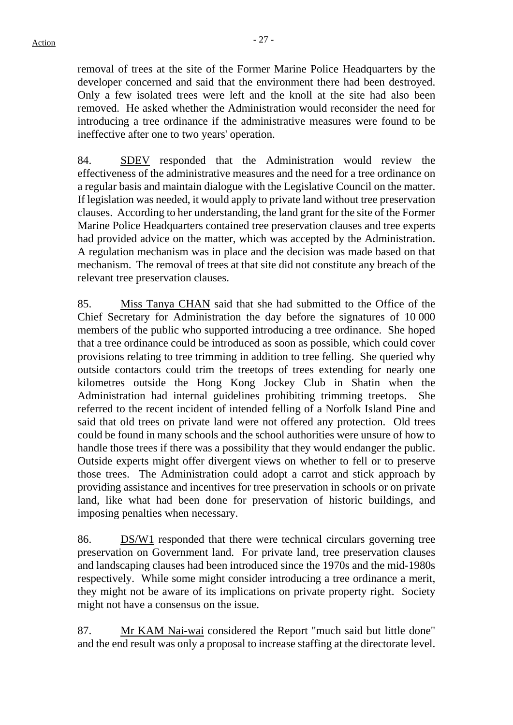removal of trees at the site of the Former Marine Police Headquarters by the developer concerned and said that the environment there had been destroyed. Only a few isolated trees were left and the knoll at the site had also been removed. He asked whether the Administration would reconsider the need for introducing a tree ordinance if the administrative measures were found to be ineffective after one to two years' operation.

84. SDEV responded that the Administration would review the effectiveness of the administrative measures and the need for a tree ordinance on a regular basis and maintain dialogue with the Legislative Council on the matter. If legislation was needed, it would apply to private land without tree preservation clauses. According to her understanding, the land grant for the site of the Former Marine Police Headquarters contained tree preservation clauses and tree experts had provided advice on the matter, which was accepted by the Administration. A regulation mechanism was in place and the decision was made based on that mechanism. The removal of trees at that site did not constitute any breach of the relevant tree preservation clauses.

85. Miss Tanya CHAN said that she had submitted to the Office of the Chief Secretary for Administration the day before the signatures of 10 000 members of the public who supported introducing a tree ordinance. She hoped that a tree ordinance could be introduced as soon as possible, which could cover provisions relating to tree trimming in addition to tree felling. She queried why outside contactors could trim the treetops of trees extending for nearly one kilometres outside the Hong Kong Jockey Club in Shatin when the Administration had internal guidelines prohibiting trimming treetops. She referred to the recent incident of intended felling of a Norfolk Island Pine and said that old trees on private land were not offered any protection. Old trees could be found in many schools and the school authorities were unsure of how to handle those trees if there was a possibility that they would endanger the public. Outside experts might offer divergent views on whether to fell or to preserve those trees. The Administration could adopt a carrot and stick approach by providing assistance and incentives for tree preservation in schools or on private land, like what had been done for preservation of historic buildings, and imposing penalties when necessary.

86. DS/W1 responded that there were technical circulars governing tree preservation on Government land. For private land, tree preservation clauses and landscaping clauses had been introduced since the 1970s and the mid-1980s respectively. While some might consider introducing a tree ordinance a merit, they might not be aware of its implications on private property right. Society might not have a consensus on the issue.

87. Mr KAM Nai-wai considered the Report "much said but little done" and the end result was only a proposal to increase staffing at the directorate level.